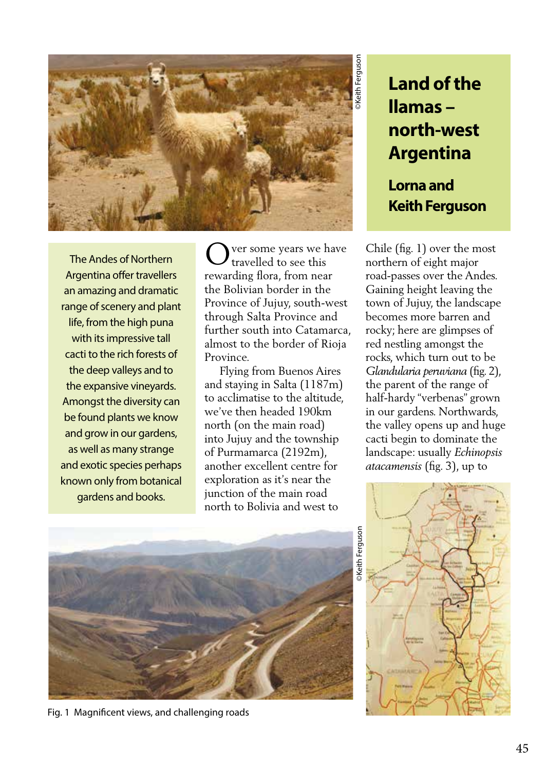

The Andes of Northern Argentina offer travellers an amazing and dramatic range of scenery and plant life, from the high puna with its impressive tall cacti to the rich forests of the deep valleys and to the expansive vineyards. Amongst the diversity can be found plants we know and grow in our gardens, as well as many strange and exotic species perhaps known only from botanical gardens and books.

ver some years we have travelled to see this rewarding flora, from near the Bolivian border in the Province of Jujuy, south-west through Salta Province and further south into Catamarca, almost to the border of Rioja Province. O

 Flying from Buenos Aires and staying in Salta (1187m) to acclimatise to the altitude, we've then headed 190km north (on the main road) into Jujuy and the township of Purmamarca (2192m), another excellent centre for exploration as it's near the junction of the main road north to Bolivia and west to

## **Land of the llamas – north-west Argentina**

**Lorna and Keith Ferguson**

Chile (fig. 1) over the most northern of eight major road-passes over the Andes. Gaining height leaving the town of Jujuy, the landscape becomes more barren and rocky; here are glimpses of red nestling amongst the rocks, which turn out to be *Glandularia peruviana* (fig. 2), the parent of the range of half-hardy "verbenas" grown in our gardens. Northwards, the valley opens up and huge cacti begin to dominate the landscape: usually *Echinopsis atacamensis* (fig. 3), up to



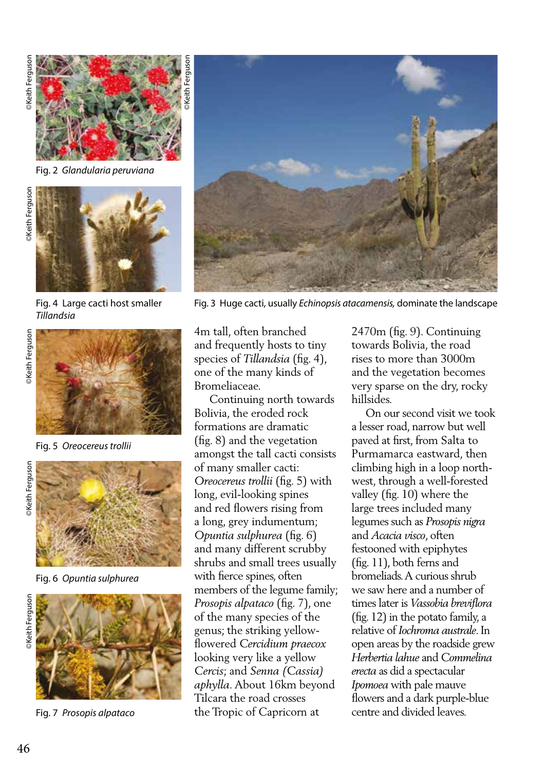

Fig. 2 *Glandularia peruviana*



Fig. 4 Large cacti host smaller *Tillandsia*



Fig. 5 *Oreocereus trollii*



Fig. 6 *Opuntia sulphurea*



Fig. 7 *Prosopis alpataco*



Fig. 3 Huge cacti, usually *Echinopsis atacamensis,* dominate the landscape

4m tall, often branched and frequently hosts to tiny species of *Tillandsia* (fig. 4), one of the many kinds of Bromeliaceae.

 Continuing north towards Bolivia, the eroded rock formations are dramatic (fig. 8) and the vegetation amongst the tall cacti consists of many smaller cacti: *Oreocereus trollii* (fig. 5) with long, evil-looking spines and red flowers rising from a long, grey indumentum; *Opuntia sulphurea* (fig. 6) and many different scrubby shrubs and small trees usually with fierce spines, often members of the legume family; *Prosopis alpataco* (fig. 7), one of the many species of the genus; the striking yellowflowered *Cercidium praecox* looking very like a yellow *Cercis*; and *Senna (Cassia) aphylla*. About 16km beyond Tilcara the road crosses the Tropic of Capricorn at

2470m (fig. 9). Continuing towards Bolivia, the road rises to more than 3000m and the vegetation becomes very sparse on the dry, rocky hillsides.

 On our second visit we took a lesser road, narrow but well paved at first, from Salta to Purmamarca eastward, then climbing high in a loop northwest, through a well-forested valley (fig. 10) where the large trees included many legumes such as *Prosopis nigra* and *Acacia visco*, often festooned with epiphytes (fig. 11), both ferns and bromeliads. A curious shrub we saw here and a number of times later is *Vassobia breviflora* (fig. 12) in the potato family, a relative of *Iochroma australe*. In open areas by the roadside grew *Herbertia lahue* and *Commelina erecta* as did a spectacular *Ipomoea* with pale mauve flowers and a dark purple-blue centre and divided leaves.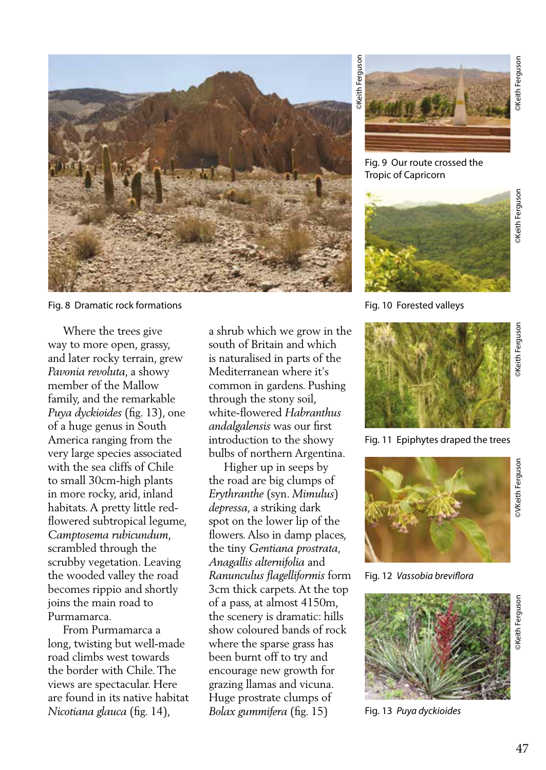

Fig. 8 Dramatic rock formations

 Where the trees give way to more open, grassy, and later rocky terrain, grew *Pavonia revoluta*, a showy member of the Mallow family, and the remarkable *Puya dyckioides* (fig. 13), one of a huge genus in South America ranging from the very large species associated with the sea cliffs of Chile to small 30cm-high plants in more rocky, arid, inland habitats. A pretty little redflowered subtropical legume, *Camptosema rubicundum*, scrambled through the scrubby vegetation. Leaving the wooded valley the road becomes rippio and shortly joins the main road to Purmamarca.

 From Purmamarca a long, twisting but well-made road climbs west towards the border with Chile. The views are spectacular. Here are found in its native habitat *Nicotiana glauca* (fig. 14),

a shrub which we grow in the south of Britain and which is naturalised in parts of the Mediterranean where it's common in gardens. Pushing through the stony soil, white-flowered *Habranthus andalgalensis* was our first introduction to the showy bulbs of northern Argentina.

 Higher up in seeps by the road are big clumps of *Erythranthe* (syn. *Mimulus*) *depressa*, a striking dark spot on the lower lip of the flowers. Also in damp places, the tiny *Gentiana prostrata, Anagallis alternifolia* and *Ranunculus flagelliformis* form 3cm thick carpets. At the top of a pass, at almost 4150m, the scenery is dramatic: hills show coloured bands of rock where the sparse grass has been burnt off to try and encourage new growth for grazing llamas and vicuna. Huge prostrate clumps of *Bolax gummifera* (fig. 15)



Fig. 9 Our route crossed the Tropic of Capricorn



Fig. 10 Forested valleys



Fig. 11 Epiphytes draped the trees



Fig. 12 *Vassobia breviflora*



Fig. 13 *Puya dyckioides*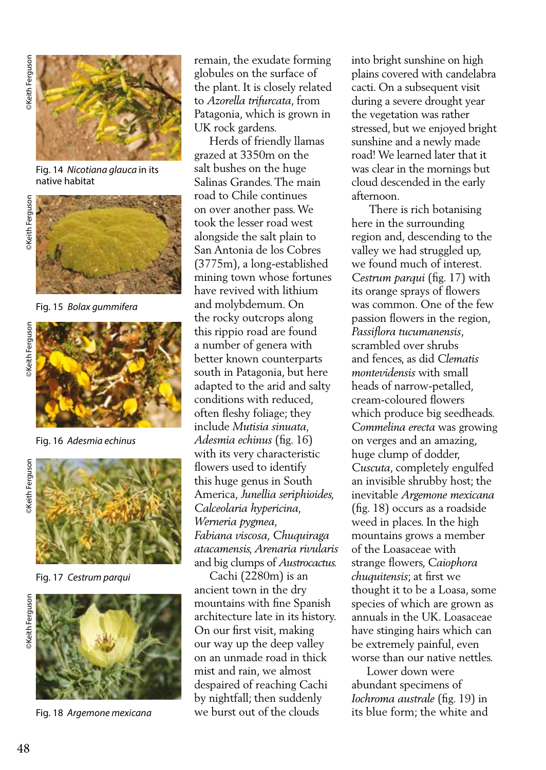

Fig. 14 *Nicotiana glauca* in its native habitat



Fig. 15 *Bolax gummifera*





Fig. 16 *Adesmia echinus*



Fig. 17 *Cestrum parqui*



Fig. 18 *Argemone mexicana*

remain, the exudate forming globules on the surface of the plant. It is closely related to *Azorella trifurcata*, from Patagonia, which is grown in UK rock gardens.

 Herds of friendly llamas grazed at 3350m on the salt bushes on the huge Salinas Grandes. The main road to Chile continues on over another pass. We took the lesser road west alongside the salt plain to San Antonia de los Cobres (3775m), a long-established mining town whose fortunes have revived with lithium and molybdemum. On the rocky outcrops along this rippio road are found a number of genera with better known counterparts south in Patagonia, but here adapted to the arid and salty conditions with reduced, often fleshy foliage; they include *Mutisia sinuata, Adesmia echinus* (fig. 16) with its very characteristic flowers used to identify this huge genus in South America, *Junellia seriphioides, Calceolaria hypericina, Werneria pygmea, Fabiana viscosa, Chuquiraga atacamensis, Arenaria rivularis*  and big clumps of *Austrocactus.*

 Cachi (2280m) is an ancient town in the dry mountains with fine Spanish architecture late in its history. On our first visit, making our way up the deep valley on an unmade road in thick mist and rain, we almost despaired of reaching Cachi by nightfall; then suddenly we burst out of the clouds

into bright sunshine on high plains covered with candelabra cacti. On a subsequent visit during a severe drought year the vegetation was rather stressed, but we enjoyed bright sunshine and a newly made road! We learned later that it was clear in the mornings but cloud descended in the early afternoon.

 There is rich botanising here in the surrounding region and, descending to the valley we had struggled up, we found much of interest. *Cestrum parqui* (fig. 17) with its orange sprays of flowers was common. One of the few passion flowers in the region, *Passiflora tucumanensis*, scrambled over shrubs and fences, as did *Clematis montevidensis* with small heads of narrow-petalled, cream-coloured flowers which produce big seedheads. *Commelina erecta* was growing on verges and an amazing, huge clump of dodder, *Cuscuta*, completely engulfed an invisible shrubby host; the inevitable *Argemone mexicana*  (fig. 18) occurs as a roadside weed in places. In the high mountains grows a member of the Loasaceae with strange flowers, *Caiophora chuquitensis*; at first we thought it to be a Loasa, some species of which are grown as annuals in the UK. Loasaceae have stinging hairs which can be extremely painful, even worse than our native nettles.

 Lower down were abundant specimens of *Iochroma australe* (fig. 19) in its blue form; the white and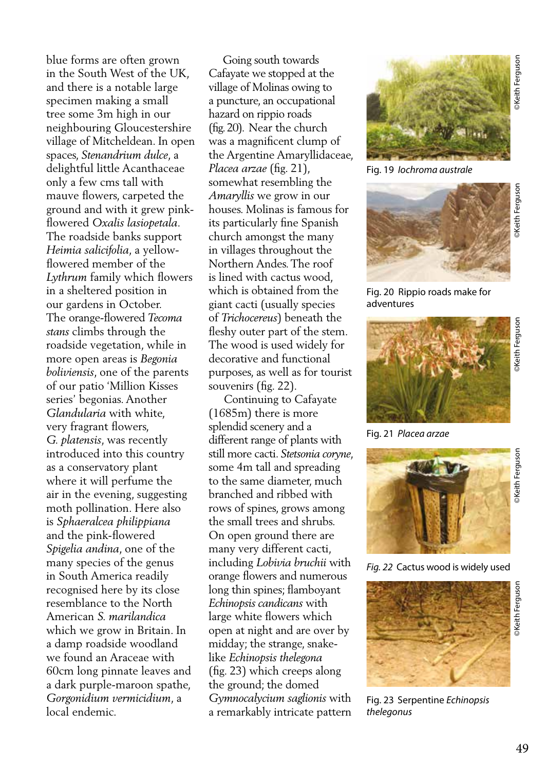blue forms are often grown in the South West of the UK, and there is a notable large specimen making a small tree some 3m high in our neighbouring Gloucestershire village of Mitcheldean. In open spaces, *Stenandrium dulce*, a delightful little Acanthaceae only a few cms tall with mauve flowers, carpeted the ground and with it grew pinkflowered *Oxalis lasiopetala.* The roadside banks support *Heimia salicifolia*, a yellowflowered member of the *Lythrum* family which flowers in a sheltered position in our gardens in October. The orange-flowered *Tecoma stans* climbs through the roadside vegetation, while in more open areas is *Begonia boliviensis*, one of the parents of our patio 'Million Kisses series' begonias. Another *Glandularia* with white, very fragrant flowers, *G. platensis*, was recently introduced into this country as a conservatory plant where it will perfume the air in the evening, suggesting moth pollination. Here also is *Sphaeralcea philippiana* and the pink-flowered *Spigelia andina*, one of the many species of the genus in South America readily recognised here by its close resemblance to the North American *S. marilandica*  which we grow in Britain. In a damp roadside woodland we found an Araceae with 60cm long pinnate leaves and a dark purple-maroon spathe, *Gorgonidium vermicidium*, a local endemic.

 Going south towards Cafayate we stopped at the village of Molinas owing to a puncture, an occupational hazard on rippio roads (fig. 20). Near the church was a magnificent clump of the Argentine Amaryllidaceae, *Placea arzae* (fig. 21), somewhat resembling the *Amaryllis* we grow in our houses. Molinas is famous for its particularly fine Spanish church amongst the many in villages throughout the Northern Andes. The roof is lined with cactus wood, which is obtained from the giant cacti (usually species of *Trichocereus*) beneath the fleshy outer part of the stem. The wood is used widely for decorative and functional purposes, as well as for tourist souvenirs (fig. 22).

 Continuing to Cafayate (1685m) there is more splendid scenery and a different range of plants with still more cacti. *Stetsonia coryne*, some 4m tall and spreading to the same diameter, much branched and ribbed with rows of spines, grows among the small trees and shrubs. On open ground there are many very different cacti, including *Lobivia bruchii* with orange flowers and numerous long thin spines; flamboyant *Echinopsis candicans* with large white flowers which open at night and are over by midday; the strange, snakelike *Echinopsis thelegona* (fig. 23) which creeps along the ground; the domed *Gymnocalycium saglionis* with a remarkably intricate pattern



Fig. 19 *Iochroma australe*



Fig. 20 Rippio roads make for adventures



Fig. 21 *Placea arzae*



*Fig. 22* Cactus wood is widely used



Fig. 23Serpentine *Echinopsis thelegonus*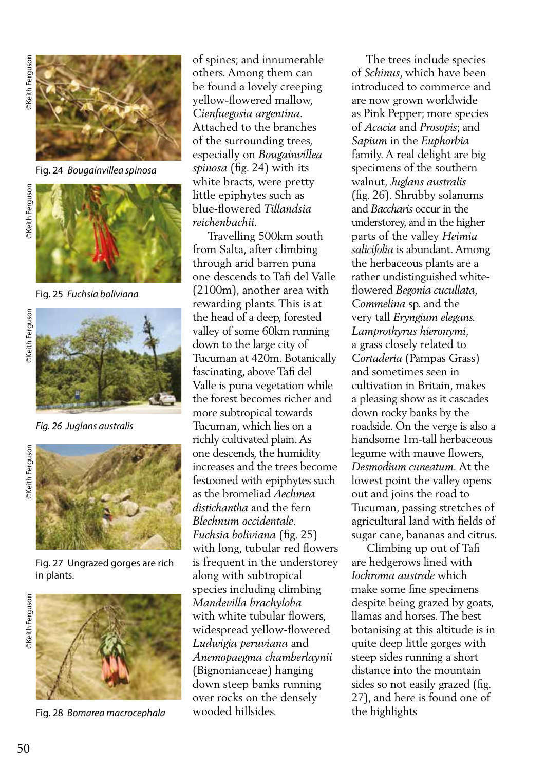

Fig. 24 *Bougainvillea spinosa*

**Exeith Ferguson** 



Fig. 25 *Fuchsia boliviana*





*Fig. 26 Juglans australis*





Fig. 27 Ungrazed gorges are rich in plants.





Fig. 28 *Bomarea macrocephala*

of spines; and innumerable others. Among them can be found a lovely creeping yellow-flowered mallow, *Cienfuegosia argentina*. Attached to the branches of the surrounding trees, especially on *Bougainvillea spinosa* (fig. 24) with its white bracts, were pretty little epiphytes such as blue-flowered *Tillandsia reichenbachii.* 

 Travelling 500km south from Salta, after climbing through arid barren puna one descends to Tafi del Valle (2100m), another area with rewarding plants. This is at the head of a deep, forested valley of some 60km running down to the large city of Tucuman at 420m. Botanically fascinating, above Tafi del Valle is puna vegetation while the forest becomes richer and more subtropical towards Tucuman, which lies on a richly cultivated plain. As one descends, the humidity increases and the trees become festooned with epiphytes such as the bromeliad *Aechmea distichantha* and the fern *Blechnum occidentale*. *Fuchsia boliviana* (fig. 25) with long, tubular red flowers is frequent in the understorey along with subtropical species including climbing *Mandevilla brachyloba*  with white tubular flowers, widespread yellow-flowered *Ludwigia peruviana* and *Anemopaegma chamberlaynii* (Bignonianceae) hanging down steep banks running over rocks on the densely wooded hillsides.

 The trees include species of *Schinus*, which have been introduced to commerce and are now grown worldwide as Pink Pepper; more species of *Acacia* and *Prosopis*; and *Sapium* in the *Euphorbia*  family. A real delight are big specimens of the southern walnut, *Juglans australis*  (fig. 26). Shrubby solanums and *Baccharis* occur in the understorey, and in the higher parts of the valley *Heimia salicifolia* is abundant. Among the herbaceous plants are a rather undistinguished whiteflowered *Begonia cucullata, Commelina* sp. and the very tall *Eryngium elegans. Lamprothyrus hieronymi*, a grass closely related to *Cortaderia* (Pampas Grass) and sometimes seen in cultivation in Britain, makes a pleasing show as it cascades down rocky banks by the roadside. On the verge is also a handsome 1m-tall herbaceous legume with mauve flowers, *Desmodium cuneatum.* At the lowest point the valley opens out and joins the road to Tucuman, passing stretches of agricultural land with fields of sugar cane, bananas and citrus.

 Climbing up out of Tafi are hedgerows lined with *Iochroma australe* which make some fine specimens despite being grazed by goats, llamas and horses. The best botanising at this altitude is in quite deep little gorges with steep sides running a short distance into the mountain sides so not easily grazed (fig. 27), and here is found one of the highlights